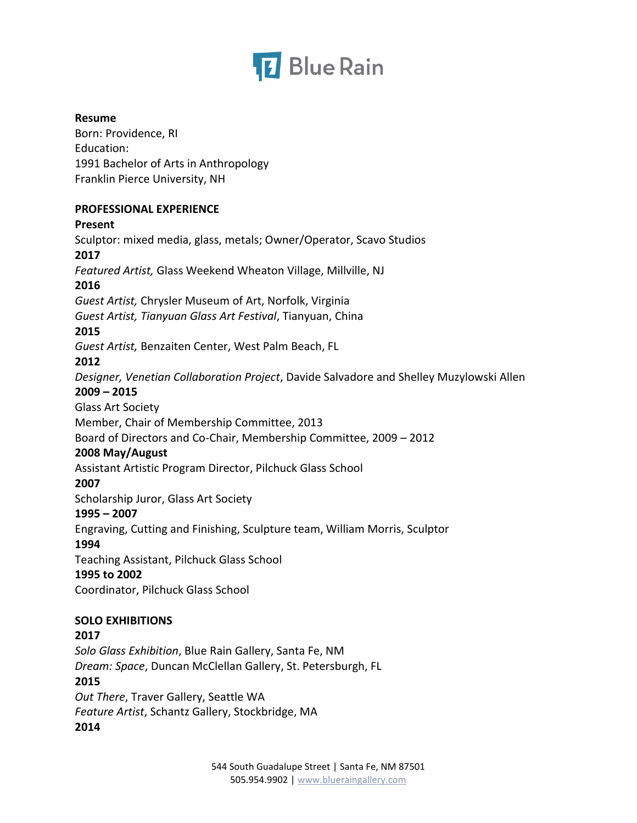

#### **Resume**

Born: Providence, RI Education: 1991 Bachelor of Arts in Anthropology Franklin Pierce University, NH

#### **PROFESSIONAL EXPERIENCE**

# **Present**

Sculptor: mixed media, glass, metals; Owner/Operator, Scavo Studios **2017** *Featured Artist,* Glass Weekend Wheaton Village, Millville, NJ **2016** *Guest Artist,* Chrysler Museum of Art, Norfolk, Virginia *Guest Artist, Tianyuan Glass Art Festival*, Tianyuan, China **2015** *Guest Artist,* Benzaiten Center, West Palm Beach, FL **2012** *Designer, Venetian Collaboration Project*, Davide Salvadore and Shelley Muzylowski Allen **2009 – 2015** Glass Art Society Member, Chair of Membership Committee, 2013 Board of Directors and Co-Chair, Membership Committee, 2009 – 2012 **2008 May/August** Assistant Artistic Program Director, Pilchuck Glass School **2007** Scholarship Juror, Glass Art Society **1995 – 2007** Engraving, Cutting and Finishing, Sculpture team, William Morris, Sculptor **1994** Teaching Assistant, Pilchuck Glass School **1995 to 2002** Coordinator, Pilchuck Glass School **SOLO EXHIBITIONS 2017**

*Solo Glass Exhibition*, Blue Rain Gallery, Santa Fe, NM *Dream: Space*, Duncan McClellan Gallery, St. Petersburgh, FL

#### **2015**

*Out There*, Traver Gallery, Seattle WA *Feature Artist*, Schantz Gallery, Stockbridge, MA **2014**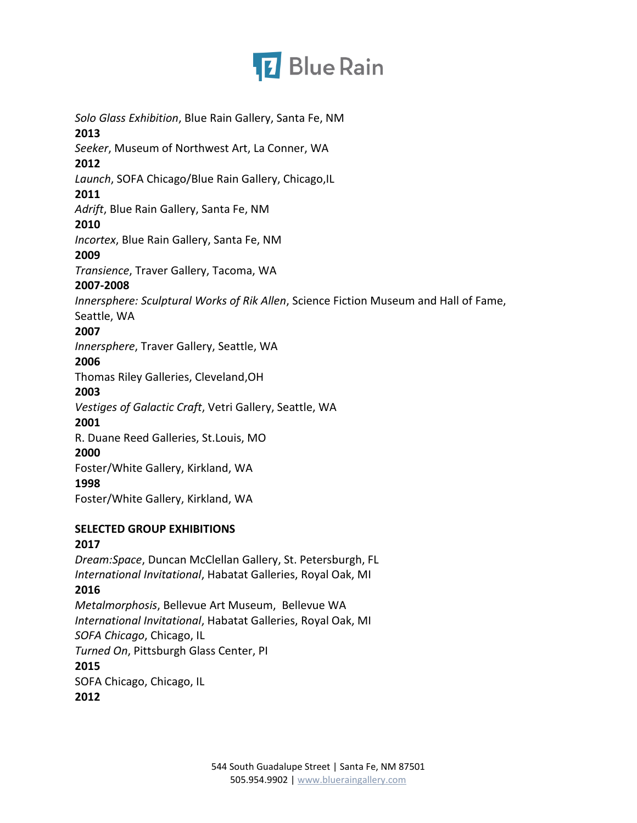

*Solo Glass Exhibition*, Blue Rain Gallery, Santa Fe, NM **2013** *Seeker*, Museum of Northwest Art, La Conner, WA **2012** *Launch*, SOFA Chicago/Blue Rain Gallery, Chicago,IL **2011** *Adrift*, Blue Rain Gallery, Santa Fe, NM **2010** *Incortex*, Blue Rain Gallery, Santa Fe, NM **2009** *Transience*, Traver Gallery, Tacoma, WA **2007-2008** *Innersphere: Sculptural Works of Rik Allen*, Science Fiction Museum and Hall of Fame, Seattle, WA **2007** *Innersphere*, Traver Gallery, Seattle, WA **2006** Thomas Riley Galleries, Cleveland,OH **2003** *Vestiges of Galactic Craft*, Vetri Gallery, Seattle, WA **2001** R. Duane Reed Galleries, St.Louis, MO **2000** Foster/White Gallery, Kirkland, WA **1998** Foster/White Gallery, Kirkland, WA **SELECTED GROUP EXHIBITIONS 2017** *Dream:Space*, Duncan McClellan Gallery, St. Petersburgh, FL *International Invitational*, Habatat Galleries, Royal Oak, MI **2016** *Metalmorphosis*, Bellevue Art Museum, Bellevue WA *International Invitational*, Habatat Galleries, Royal Oak, MI *SOFA Chicago*, Chicago, IL *Turned On*, Pittsburgh Glass Center, PI

**2015**

SOFA Chicago, Chicago, IL

**2012**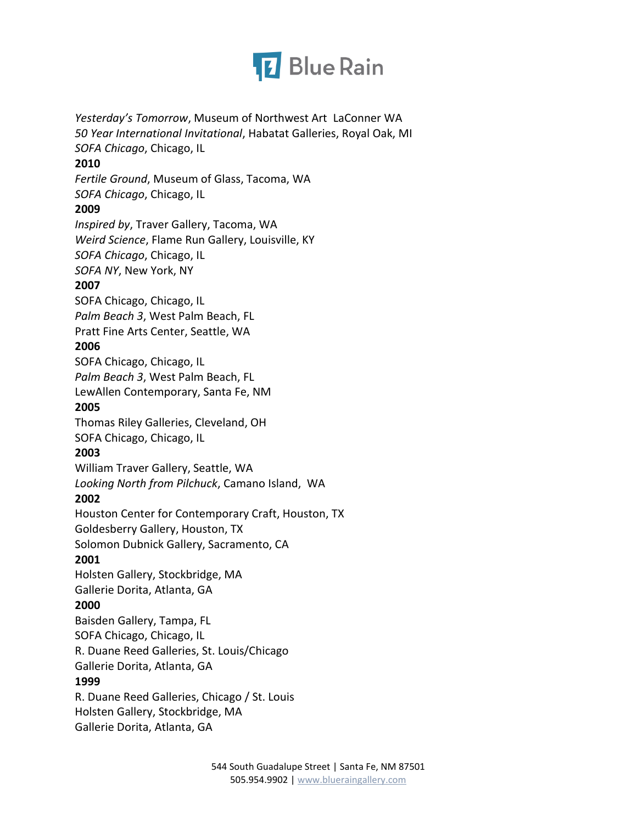

*Yesterday's Tomorrow*, Museum of Northwest Art LaConner WA *50 Year International Invitational*, Habatat Galleries, Royal Oak, MI *SOFA Chicago*, Chicago, IL **2010** *Fertile Ground*, Museum of Glass, Tacoma, WA *SOFA Chicago*, Chicago, IL **2009** *Inspired by*, Traver Gallery, Tacoma, WA *Weird Science*, Flame Run Gallery, Louisville, KY *SOFA Chicago*, Chicago, IL *SOFA NY*, New York, NY **2007** SOFA Chicago, Chicago, IL *Palm Beach 3*, West Palm Beach, FL Pratt Fine Arts Center, Seattle, WA **2006** SOFA Chicago, Chicago, IL *Palm Beach 3*, West Palm Beach, FL LewAllen Contemporary, Santa Fe, NM **2005** Thomas Riley Galleries, Cleveland, OH SOFA Chicago, Chicago, IL **2003** William Traver Gallery, Seattle, WA *Looking North from Pilchuck*, Camano Island, WA **2002** Houston Center for Contemporary Craft, Houston, TX Goldesberry Gallery, Houston, TX Solomon Dubnick Gallery, Sacramento, CA **2001** Holsten Gallery, Stockbridge, MA Gallerie Dorita, Atlanta, GA **2000** Baisden Gallery, Tampa, FL SOFA Chicago, Chicago, IL R. Duane Reed Galleries, St. Louis/Chicago Gallerie Dorita, Atlanta, GA **1999** R. Duane Reed Galleries, Chicago / St. Louis Holsten Gallery, Stockbridge, MA Gallerie Dorita, Atlanta, GA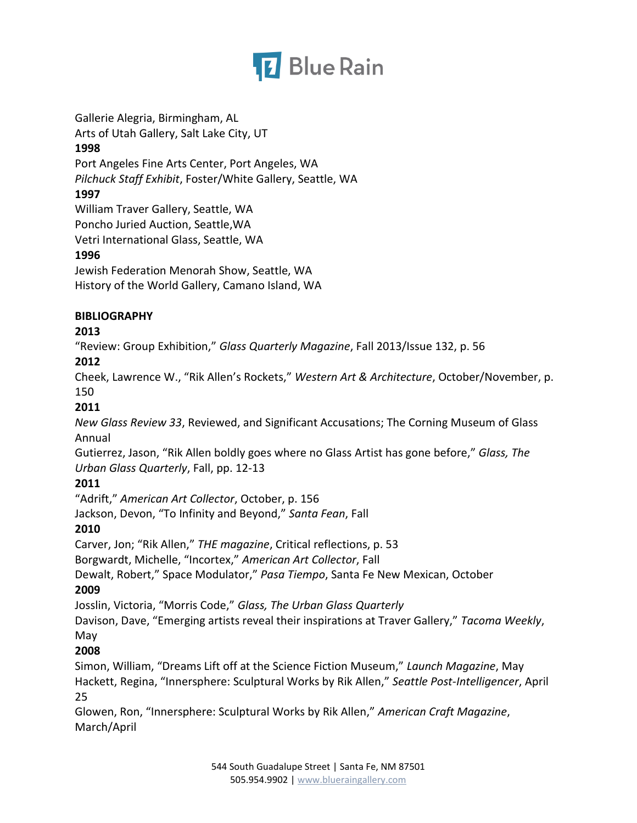

Gallerie Alegria, Birmingham, AL Arts of Utah Gallery, Salt Lake City, UT **1998** Port Angeles Fine Arts Center, Port Angeles, WA *Pilchuck Staff Exhibit*, Foster/White Gallery, Seattle, WA **1997** William Traver Gallery, Seattle, WA Poncho Juried Auction, Seattle,WA Vetri International Glass, Seattle, WA **1996** Jewish Federation Menorah Show, Seattle, WA History of the World Gallery, Camano Island, WA

### **BIBLIOGRAPHY**

### **2013**

"Review: Group Exhibition," *Glass Quarterly Magazine*, Fall 2013/Issue 132, p. 56

# **2012**

Cheek, Lawrence W., "Rik Allen's Rockets," *Western Art & Architecture*, October/November, p. 150

# **2011**

*New Glass Review 33*, Reviewed, and Significant Accusations; The Corning Museum of Glass Annual

Gutierrez, Jason, "Rik Allen boldly goes where no Glass Artist has gone before," *Glass, The Urban Glass Quarterly*, Fall, pp. 12-13

# **2011**

"Adrift," *American Art Collector*, October, p. 156

Jackson, Devon, "To Infinity and Beyond," *Santa Fean*, Fall

# **2010**

Carver, Jon; "Rik Allen," *THE magazine*, Critical reflections, p. 53

Borgwardt, Michelle, "Incortex," *American Art Collector*, Fall

Dewalt, Robert," Space Modulator," *Pasa Tiempo*, Santa Fe New Mexican, October

# **2009**

Josslin, Victoria, "Morris Code," *Glass, The Urban Glass Quarterly*

Davison, Dave, "Emerging artists reveal their inspirations at Traver Gallery," *Tacoma Weekly*, May

# **2008**

Simon, William, "Dreams Lift off at the Science Fiction Museum," *Launch Magazine*, May Hackett, Regina, "Innersphere: Sculptural Works by Rik Allen," *Seattle Post-Intelligencer*, April 25

Glowen, Ron, "Innersphere: Sculptural Works by Rik Allen," *American Craft Magazine*, March/April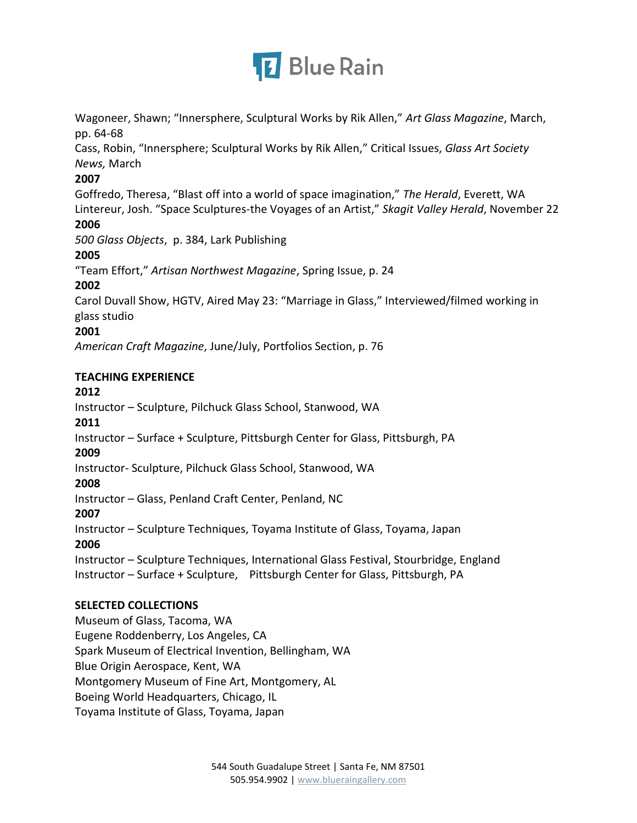

Wagoneer, Shawn; "Innersphere, Sculptural Works by Rik Allen," *Art Glass Magazine*, March, pp. 64-68

Cass, Robin, "Innersphere; Sculptural Works by Rik Allen," Critical Issues, *Glass Art Society News,* March

### **2007**

Goffredo, Theresa, "Blast off into a world of space imagination," *The Herald*, Everett, WA Lintereur, Josh. "Space Sculptures-the Voyages of an Artist," *Skagit Valley Herald*, November 22 **2006**

*500 Glass Objects*, p. 384, Lark Publishing

# **2005**

"Team Effort," *Artisan Northwest Magazine*, Spring Issue, p. 24

# **2002**

Carol Duvall Show, HGTV, Aired May 23: "Marriage in Glass," Interviewed/filmed working in glass studio

# **2001**

*American Craft Magazine*, June/July, Portfolios Section, p. 76

# **TEACHING EXPERIENCE**

# **2012**

Instructor – Sculpture, Pilchuck Glass School, Stanwood, WA

# **2011**

Instructor – Surface + Sculpture, Pittsburgh Center for Glass, Pittsburgh, PA

# **2009**

Instructor- Sculpture, Pilchuck Glass School, Stanwood, WA

# **2008**

Instructor – Glass, Penland Craft Center, Penland, NC

# **2007**

Instructor – Sculpture Techniques, Toyama Institute of Glass, Toyama, Japan **2006**

Instructor – Sculpture Techniques, International Glass Festival, Stourbridge, England Instructor – Surface + Sculpture, Pittsburgh Center for Glass, Pittsburgh, PA

# **SELECTED COLLECTIONS**

Museum of Glass, Tacoma, WA Eugene Roddenberry, Los Angeles, CA Spark Museum of Electrical Invention, Bellingham, WA Blue Origin Aerospace, Kent, WA Montgomery Museum of Fine Art, Montgomery, AL Boeing World Headquarters, Chicago, IL Toyama Institute of Glass, Toyama, Japan